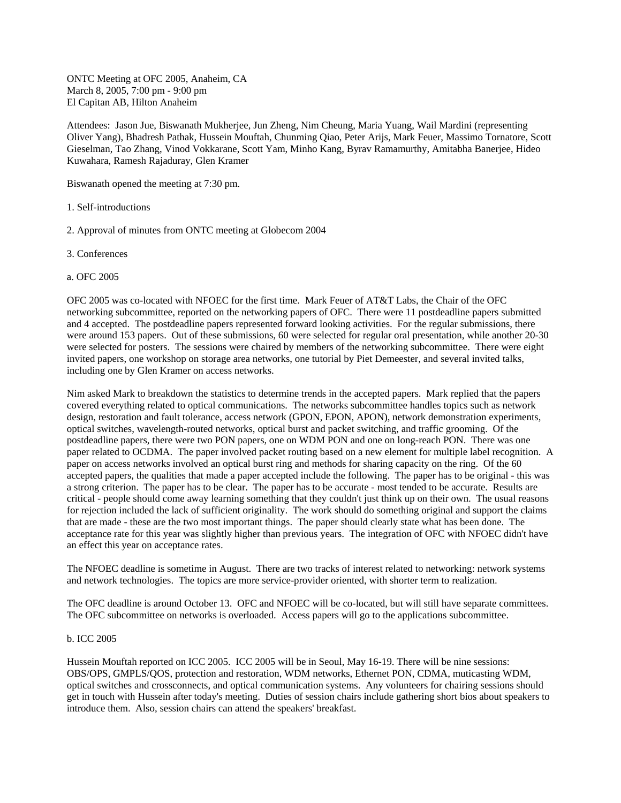ONTC Meeting at OFC 2005, Anaheim, CA March 8, 2005, 7:00 pm - 9:00 pm El Capitan AB, Hilton Anaheim

Attendees: Jason Jue, Biswanath Mukherjee, Jun Zheng, Nim Cheung, Maria Yuang, Wail Mardini (representing Oliver Yang), Bhadresh Pathak, Hussein Mouftah, Chunming Qiao, Peter Arijs, Mark Feuer, Massimo Tornatore, Scott Gieselman, Tao Zhang, Vinod Vokkarane, Scott Yam, Minho Kang, Byrav Ramamurthy, Amitabha Banerjee, Hideo Kuwahara, Ramesh Rajaduray, Glen Kramer

Biswanath opened the meeting at 7:30 pm.

- 1. Self-introductions
- 2. Approval of minutes from ONTC meeting at Globecom 2004
- 3. Conferences
- a. OFC 2005

OFC 2005 was co-located with NFOEC for the first time. Mark Feuer of AT&T Labs, the Chair of the OFC networking subcommittee, reported on the networking papers of OFC. There were 11 postdeadline papers submitted and 4 accepted. The postdeadline papers represented forward looking activities. For the regular submissions, there were around 153 papers. Out of these submissions, 60 were selected for regular oral presentation, while another 20-30 were selected for posters. The sessions were chaired by members of the networking subcommittee. There were eight invited papers, one workshop on storage area networks, one tutorial by Piet Demeester, and several invited talks, including one by Glen Kramer on access networks.

Nim asked Mark to breakdown the statistics to determine trends in the accepted papers. Mark replied that the papers covered everything related to optical communications. The networks subcommittee handles topics such as network design, restoration and fault tolerance, access network (GPON, EPON, APON), network demonstration experiments, optical switches, wavelength-routed networks, optical burst and packet switching, and traffic grooming. Of the postdeadline papers, there were two PON papers, one on WDM PON and one on long-reach PON. There was one paper related to OCDMA. The paper involved packet routing based on a new element for multiple label recognition. A paper on access networks involved an optical burst ring and methods for sharing capacity on the ring. Of the 60 accepted papers, the qualities that made a paper accepted include the following. The paper has to be original - this was a strong criterion. The paper has to be clear. The paper has to be accurate - most tended to be accurate. Results are critical - people should come away learning something that they couldn't just think up on their own. The usual reasons for rejection included the lack of sufficient originality. The work should do something original and support the claims that are made - these are the two most important things. The paper should clearly state what has been done. The acceptance rate for this year was slightly higher than previous years. The integration of OFC with NFOEC didn't have an effect this year on acceptance rates.

The NFOEC deadline is sometime in August. There are two tracks of interest related to networking: network systems and network technologies. The topics are more service-provider oriented, with shorter term to realization.

The OFC deadline is around October 13. OFC and NFOEC will be co-located, but will still have separate committees. The OFC subcommittee on networks is overloaded. Access papers will go to the applications subcommittee.

## b. ICC 2005

Hussein Mouftah reported on ICC 2005. ICC 2005 will be in Seoul, May 16-19. There will be nine sessions: OBS/OPS, GMPLS/QOS, protection and restoration, WDM networks, Ethernet PON, CDMA, muticasting WDM, optical switches and crossconnects, and optical communication systems. Any volunteers for chairing sessions should get in touch with Hussein after today's meeting. Duties of session chairs include gathering short bios about speakers to introduce them. Also, session chairs can attend the speakers' breakfast.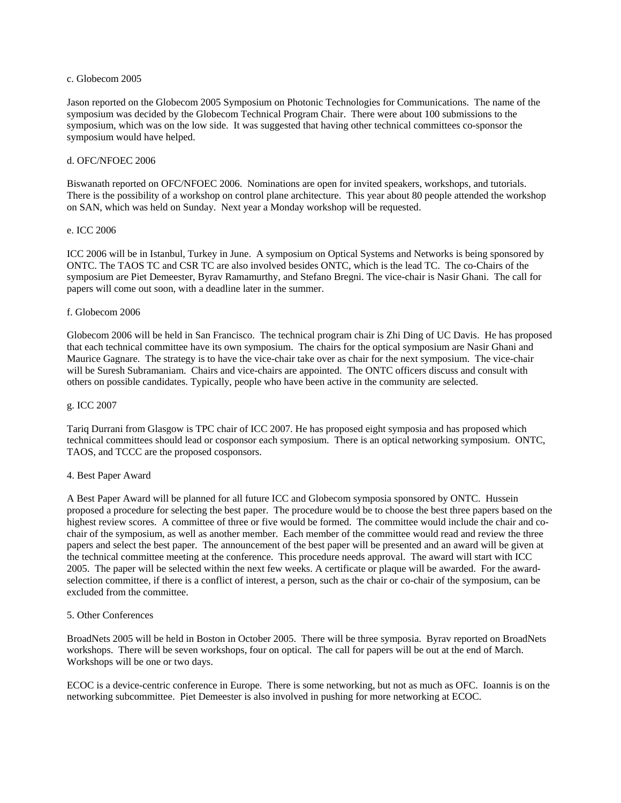### c. Globecom 2005

Jason reported on the Globecom 2005 Symposium on Photonic Technologies for Communications. The name of the symposium was decided by the Globecom Technical Program Chair. There were about 100 submissions to the symposium, which was on the low side. It was suggested that having other technical committees co-sponsor the symposium would have helped.

### d. OFC/NFOEC 2006

Biswanath reported on OFC/NFOEC 2006. Nominations are open for invited speakers, workshops, and tutorials. There is the possibility of a workshop on control plane architecture. This year about 80 people attended the workshop on SAN, which was held on Sunday. Next year a Monday workshop will be requested.

#### e. ICC 2006

ICC 2006 will be in Istanbul, Turkey in June. A symposium on Optical Systems and Networks is being sponsored by ONTC. The TAOS TC and CSR TC are also involved besides ONTC, which is the lead TC. The co-Chairs of the symposium are Piet Demeester, Byrav Ramamurthy, and Stefano Bregni. The vice-chair is Nasir Ghani. The call for papers will come out soon, with a deadline later in the summer.

## f. Globecom 2006

Globecom 2006 will be held in San Francisco. The technical program chair is Zhi Ding of UC Davis. He has proposed that each technical committee have its own symposium. The chairs for the optical symposium are Nasir Ghani and Maurice Gagnare. The strategy is to have the vice-chair take over as chair for the next symposium. The vice-chair will be Suresh Subramaniam. Chairs and vice-chairs are appointed. The ONTC officers discuss and consult with others on possible candidates. Typically, people who have been active in the community are selected.

#### g. ICC 2007

Tariq Durrani from Glasgow is TPC chair of ICC 2007. He has proposed eight symposia and has proposed which technical committees should lead or cosponsor each symposium. There is an optical networking symposium. ONTC, TAOS, and TCCC are the proposed cosponsors.

# 4. Best Paper Award

A Best Paper Award will be planned for all future ICC and Globecom symposia sponsored by ONTC. Hussein proposed a procedure for selecting the best paper. The procedure would be to choose the best three papers based on the highest review scores. A committee of three or five would be formed. The committee would include the chair and cochair of the symposium, as well as another member. Each member of the committee would read and review the three papers and select the best paper. The announcement of the best paper will be presented and an award will be given at the technical committee meeting at the conference. This procedure needs approval. The award will start with ICC 2005. The paper will be selected within the next few weeks. A certificate or plaque will be awarded. For the awardselection committee, if there is a conflict of interest, a person, such as the chair or co-chair of the symposium, can be excluded from the committee.

#### 5. Other Conferences

BroadNets 2005 will be held in Boston in October 2005. There will be three symposia. Byrav reported on BroadNets workshops. There will be seven workshops, four on optical. The call for papers will be out at the end of March. Workshops will be one or two days.

ECOC is a device-centric conference in Europe. There is some networking, but not as much as OFC. Ioannis is on the networking subcommittee. Piet Demeester is also involved in pushing for more networking at ECOC.